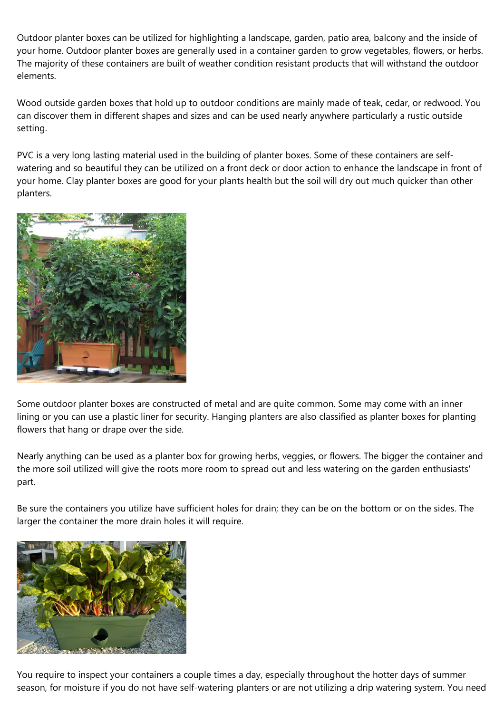Outdoor planter boxes can be utilized for highlighting a landscape, garden, patio area, balcony and the inside of your home. Outdoor planter boxes are generally used in a container garden to grow vegetables, flowers, or herbs. The majority of these containers are built of weather condition resistant products that will withstand the outdoor elements.

Wood outside garden boxes that hold up to outdoor conditions are mainly made of teak, cedar, or redwood. You can discover them in different shapes and sizes and can be used nearly anywhere particularly a rustic outside setting.

PVC is a very long lasting material used in the building of planter boxes. Some of these containers are selfwatering and so beautiful they can be utilized on a front deck or door action to enhance the landscape in front of your home. Clay planter boxes are good for your plants health but the soil will dry out much quicker than other planters.



Some outdoor planter boxes are constructed of metal and are quite common. Some may come with an inner lining or you can use a plastic liner for security. Hanging planters are also classified as planter boxes for planting flowers that hang or drape over the side.

Nearly anything can be used as a planter box for growing herbs, veggies, or flowers. The bigger the container and the more soil utilized will give the roots more room to spread out and less watering on the garden enthusiasts' part.

Be sure the containers you utilize have sufficient holes for drain; they can be on the bottom or on the sides. The larger the container the more drain holes it will require.



You require to inspect your containers a couple times a day, especially throughout the hotter days of summer season, for moisture if you do not have self-watering planters or are not utilizing a drip watering system. You need